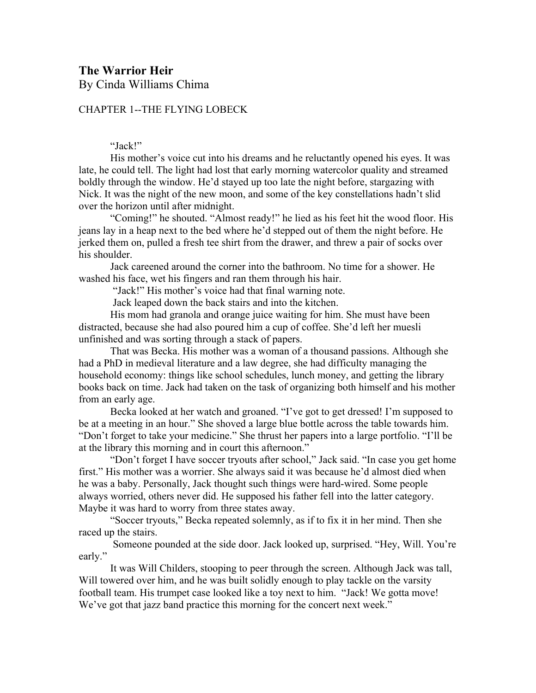## **The Warrior Heir** By Cinda Williams Chima

## CHAPTER 1--THE FLYING LOBECK

## "Jack!"

His mother's voice cut into his dreams and he reluctantly opened his eyes. It was late, he could tell. The light had lost that early morning watercolor quality and streamed boldly through the window. He'd stayed up too late the night before, stargazing with Nick. It was the night of the new moon, and some of the key constellations hadn't slid over the horizon until after midnight.

"Coming!" he shouted. "Almost ready!" he lied as his feet hit the wood floor. His jeans lay in a heap next to the bed where he'd stepped out of them the night before. He jerked them on, pulled a fresh tee shirt from the drawer, and threw a pair of socks over his shoulder.

Jack careened around the corner into the bathroom. No time for a shower. He washed his face, wet his fingers and ran them through his hair.

"Jack!" His mother's voice had that final warning note.

Jack leaped down the back stairs and into the kitchen.

His mom had granola and orange juice waiting for him. She must have been distracted, because she had also poured him a cup of coffee. She'd left her muesli unfinished and was sorting through a stack of papers.

That was Becka. His mother was a woman of a thousand passions. Although she had a PhD in medieval literature and a law degree, she had difficulty managing the household economy: things like school schedules, lunch money, and getting the library books back on time. Jack had taken on the task of organizing both himself and his mother from an early age.

Becka looked at her watch and groaned. "I've got to get dressed! I'm supposed to be at a meeting in an hour." She shoved a large blue bottle across the table towards him. "Don't forget to take your medicine." She thrust her papers into a large portfolio. "I'll be at the library this morning and in court this afternoon."

"Don't forget I have soccer tryouts after school," Jack said. "In case you get home first." His mother was a worrier. She always said it was because he'd almost died when he was a baby. Personally, Jack thought such things were hard-wired. Some people always worried, others never did. He supposed his father fell into the latter category. Maybe it was hard to worry from three states away.

"Soccer tryouts," Becka repeated solemnly, as if to fix it in her mind. Then she raced up the stairs.

 Someone pounded at the side door. Jack looked up, surprised. "Hey, Will. You're early."

It was Will Childers, stooping to peer through the screen. Although Jack was tall, Will towered over him, and he was built solidly enough to play tackle on the varsity football team. His trumpet case looked like a toy next to him. "Jack! We gotta move! We've got that jazz band practice this morning for the concert next week."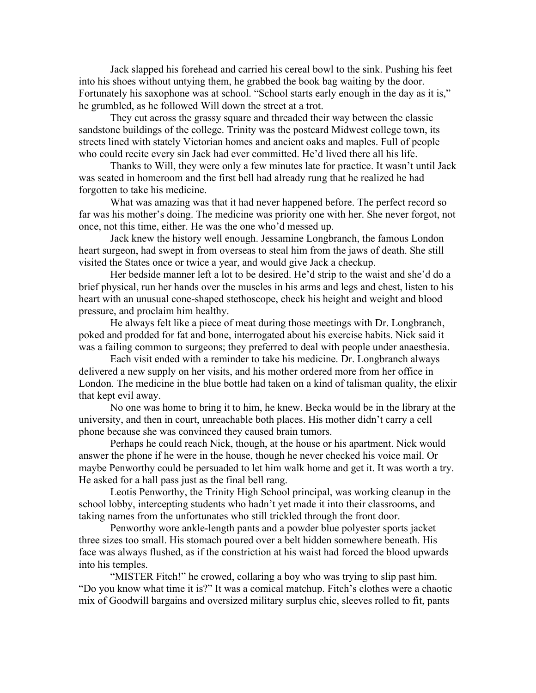Jack slapped his forehead and carried his cereal bowl to the sink. Pushing his feet into his shoes without untying them, he grabbed the book bag waiting by the door. Fortunately his saxophone was at school. "School starts early enough in the day as it is," he grumbled, as he followed Will down the street at a trot.

They cut across the grassy square and threaded their way between the classic sandstone buildings of the college. Trinity was the postcard Midwest college town, its streets lined with stately Victorian homes and ancient oaks and maples. Full of people who could recite every sin Jack had ever committed. He'd lived there all his life.

Thanks to Will, they were only a few minutes late for practice. It wasn't until Jack was seated in homeroom and the first bell had already rung that he realized he had forgotten to take his medicine.

What was amazing was that it had never happened before. The perfect record so far was his mother's doing. The medicine was priority one with her. She never forgot, not once, not this time, either. He was the one who'd messed up.

Jack knew the history well enough. Jessamine Longbranch, the famous London heart surgeon, had swept in from overseas to steal him from the jaws of death. She still visited the States once or twice a year, and would give Jack a checkup.

Her bedside manner left a lot to be desired. He'd strip to the waist and she'd do a brief physical, run her hands over the muscles in his arms and legs and chest, listen to his heart with an unusual cone-shaped stethoscope, check his height and weight and blood pressure, and proclaim him healthy.

He always felt like a piece of meat during those meetings with Dr. Longbranch, poked and prodded for fat and bone, interrogated about his exercise habits. Nick said it was a failing common to surgeons; they preferred to deal with people under anaesthesia.

Each visit ended with a reminder to take his medicine. Dr. Longbranch always delivered a new supply on her visits, and his mother ordered more from her office in London. The medicine in the blue bottle had taken on a kind of talisman quality, the elixir that kept evil away.

No one was home to bring it to him, he knew. Becka would be in the library at the university, and then in court, unreachable both places. His mother didn't carry a cell phone because she was convinced they caused brain tumors.

Perhaps he could reach Nick, though, at the house or his apartment. Nick would answer the phone if he were in the house, though he never checked his voice mail. Or maybe Penworthy could be persuaded to let him walk home and get it. It was worth a try. He asked for a hall pass just as the final bell rang.

Leotis Penworthy, the Trinity High School principal, was working cleanup in the school lobby, intercepting students who hadn't yet made it into their classrooms, and taking names from the unfortunates who still trickled through the front door.

Penworthy wore ankle-length pants and a powder blue polyester sports jacket three sizes too small. His stomach poured over a belt hidden somewhere beneath. His face was always flushed, as if the constriction at his waist had forced the blood upwards into his temples.

"MISTER Fitch!" he crowed, collaring a boy who was trying to slip past him. "Do you know what time it is?" It was a comical matchup. Fitch's clothes were a chaotic mix of Goodwill bargains and oversized military surplus chic, sleeves rolled to fit, pants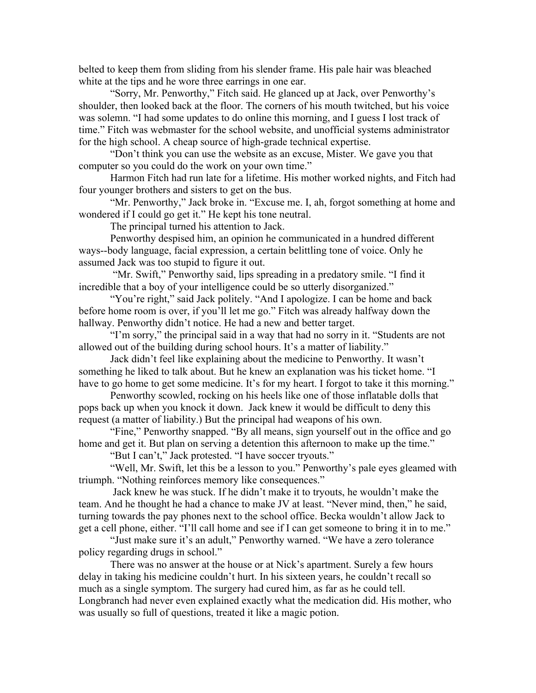belted to keep them from sliding from his slender frame. His pale hair was bleached white at the tips and he wore three earrings in one ear.

"Sorry, Mr. Penworthy," Fitch said. He glanced up at Jack, over Penworthy's shoulder, then looked back at the floor. The corners of his mouth twitched, but his voice was solemn. "I had some updates to do online this morning, and I guess I lost track of time." Fitch was webmaster for the school website, and unofficial systems administrator for the high school. A cheap source of high-grade technical expertise.

"Don't think you can use the website as an excuse, Mister. We gave you that computer so you could do the work on your own time."

Harmon Fitch had run late for a lifetime. His mother worked nights, and Fitch had four younger brothers and sisters to get on the bus.

"Mr. Penworthy," Jack broke in. "Excuse me. I, ah, forgot something at home and wondered if I could go get it." He kept his tone neutral.

The principal turned his attention to Jack.

Penworthy despised him, an opinion he communicated in a hundred different ways--body language, facial expression, a certain belittling tone of voice. Only he assumed Jack was too stupid to figure it out.

 "Mr. Swift," Penworthy said, lips spreading in a predatory smile. "I find it incredible that a boy of your intelligence could be so utterly disorganized."

"You're right," said Jack politely. "And I apologize. I can be home and back before home room is over, if you'll let me go." Fitch was already halfway down the hallway. Penworthy didn't notice. He had a new and better target.

"I'm sorry," the principal said in a way that had no sorry in it. "Students are not allowed out of the building during school hours. It's a matter of liability."

Jack didn't feel like explaining about the medicine to Penworthy. It wasn't something he liked to talk about. But he knew an explanation was his ticket home. "I have to go home to get some medicine. It's for my heart. I forgot to take it this morning."

Penworthy scowled, rocking on his heels like one of those inflatable dolls that pops back up when you knock it down. Jack knew it would be difficult to deny this request (a matter of liability.) But the principal had weapons of his own.

"Fine," Penworthy snapped. "By all means, sign yourself out in the office and go home and get it. But plan on serving a detention this afternoon to make up the time."

"But I can't," Jack protested. "I have soccer tryouts."

"Well, Mr. Swift, let this be a lesson to you." Penworthy's pale eyes gleamed with triumph. "Nothing reinforces memory like consequences."

 Jack knew he was stuck. If he didn't make it to tryouts, he wouldn't make the team. And he thought he had a chance to make JV at least. "Never mind, then," he said, turning towards the pay phones next to the school office. Becka wouldn't allow Jack to get a cell phone, either. "I'll call home and see if I can get someone to bring it in to me."

"Just make sure it's an adult," Penworthy warned. "We have a zero tolerance policy regarding drugs in school."

There was no answer at the house or at Nick's apartment. Surely a few hours delay in taking his medicine couldn't hurt. In his sixteen years, he couldn't recall so much as a single symptom. The surgery had cured him, as far as he could tell. Longbranch had never even explained exactly what the medication did. His mother, who was usually so full of questions, treated it like a magic potion.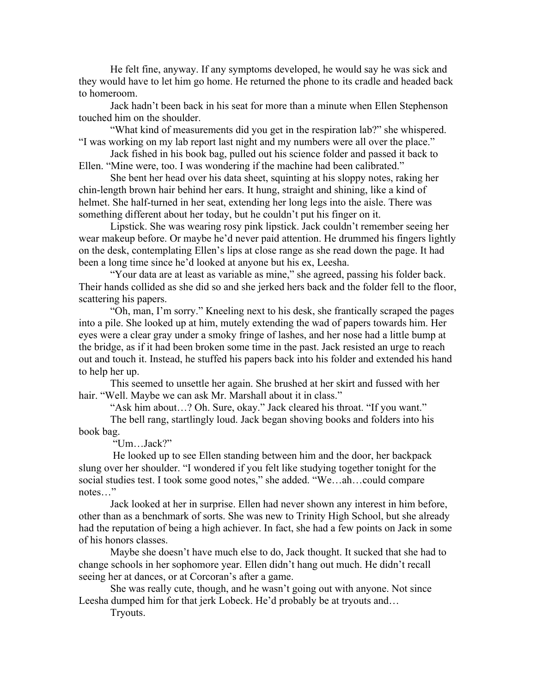He felt fine, anyway. If any symptoms developed, he would say he was sick and they would have to let him go home. He returned the phone to its cradle and headed back to homeroom.

Jack hadn't been back in his seat for more than a minute when Ellen Stephenson touched him on the shoulder.

"What kind of measurements did you get in the respiration lab?" she whispered. "I was working on my lab report last night and my numbers were all over the place."

Jack fished in his book bag, pulled out his science folder and passed it back to Ellen. "Mine were, too. I was wondering if the machine had been calibrated."

She bent her head over his data sheet, squinting at his sloppy notes, raking her chin-length brown hair behind her ears. It hung, straight and shining, like a kind of helmet. She half-turned in her seat, extending her long legs into the aisle. There was something different about her today, but he couldn't put his finger on it.

Lipstick. She was wearing rosy pink lipstick. Jack couldn't remember seeing her wear makeup before. Or maybe he'd never paid attention. He drummed his fingers lightly on the desk, contemplating Ellen's lips at close range as she read down the page. It had been a long time since he'd looked at anyone but his ex, Leesha.

"Your data are at least as variable as mine," she agreed, passing his folder back. Their hands collided as she did so and she jerked hers back and the folder fell to the floor, scattering his papers.

"Oh, man, I'm sorry." Kneeling next to his desk, she frantically scraped the pages into a pile. She looked up at him, mutely extending the wad of papers towards him. Her eyes were a clear gray under a smoky fringe of lashes, and her nose had a little bump at the bridge, as if it had been broken some time in the past. Jack resisted an urge to reach out and touch it. Instead, he stuffed his papers back into his folder and extended his hand to help her up.

This seemed to unsettle her again. She brushed at her skirt and fussed with her hair. "Well. Maybe we can ask Mr. Marshall about it in class."

"Ask him about…? Oh. Sure, okay." Jack cleared his throat. "If you want."

The bell rang, startlingly loud. Jack began shoving books and folders into his book bag.

"Um…Jack?"

 He looked up to see Ellen standing between him and the door, her backpack slung over her shoulder. "I wondered if you felt like studying together tonight for the social studies test. I took some good notes," she added. "We…ah…could compare notes…"

Jack looked at her in surprise. Ellen had never shown any interest in him before, other than as a benchmark of sorts. She was new to Trinity High School, but she already had the reputation of being a high achiever. In fact, she had a few points on Jack in some of his honors classes.

Maybe she doesn't have much else to do, Jack thought. It sucked that she had to change schools in her sophomore year. Ellen didn't hang out much. He didn't recall seeing her at dances, or at Corcoran's after a game.

She was really cute, though, and he wasn't going out with anyone. Not since Leesha dumped him for that jerk Lobeck. He'd probably be at tryouts and...

Tryouts.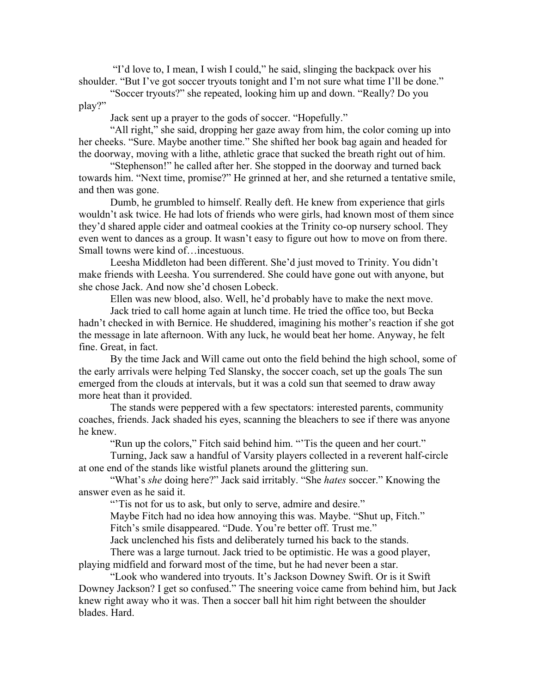"I'd love to, I mean, I wish I could," he said, slinging the backpack over his shoulder. "But I've got soccer tryouts tonight and I'm not sure what time I'll be done."

"Soccer tryouts?" she repeated, looking him up and down. "Really? Do you play?"

Jack sent up a prayer to the gods of soccer. "Hopefully."

"All right," she said, dropping her gaze away from him, the color coming up into her cheeks. "Sure. Maybe another time." She shifted her book bag again and headed for the doorway, moving with a lithe, athletic grace that sucked the breath right out of him.

"Stephenson!" he called after her. She stopped in the doorway and turned back towards him. "Next time, promise?" He grinned at her, and she returned a tentative smile, and then was gone.

Dumb, he grumbled to himself. Really deft. He knew from experience that girls wouldn't ask twice. He had lots of friends who were girls, had known most of them since they'd shared apple cider and oatmeal cookies at the Trinity co-op nursery school. They even went to dances as a group. It wasn't easy to figure out how to move on from there. Small towns were kind of…incestuous.

Leesha Middleton had been different. She'd just moved to Trinity. You didn't make friends with Leesha. You surrendered. She could have gone out with anyone, but she chose Jack. And now she'd chosen Lobeck.

Ellen was new blood, also. Well, he'd probably have to make the next move. Jack tried to call home again at lunch time. He tried the office too, but Becka hadn't checked in with Bernice. He shuddered, imagining his mother's reaction if she got the message in late afternoon. With any luck, he would beat her home. Anyway, he felt fine. Great, in fact.

By the time Jack and Will came out onto the field behind the high school, some of the early arrivals were helping Ted Slansky, the soccer coach, set up the goals The sun emerged from the clouds at intervals, but it was a cold sun that seemed to draw away more heat than it provided.

The stands were peppered with a few spectators: interested parents, community coaches, friends. Jack shaded his eyes, scanning the bleachers to see if there was anyone he knew.

"Run up the colors," Fitch said behind him. "'Tis the queen and her court."

Turning, Jack saw a handful of Varsity players collected in a reverent half-circle at one end of the stands like wistful planets around the glittering sun.

"What's *she* doing here?" Jack said irritably. "She *hates* soccer." Knowing the answer even as he said it.

"Tis not for us to ask, but only to serve, admire and desire."

Maybe Fitch had no idea how annoying this was. Maybe. "Shut up, Fitch."

Fitch's smile disappeared. "Dude. You're better off. Trust me."

Jack unclenched his fists and deliberately turned his back to the stands.

There was a large turnout. Jack tried to be optimistic. He was a good player, playing midfield and forward most of the time, but he had never been a star.

"Look who wandered into tryouts. It's Jackson Downey Swift. Or is it Swift Downey Jackson? I get so confused." The sneering voice came from behind him, but Jack knew right away who it was. Then a soccer ball hit him right between the shoulder blades. Hard.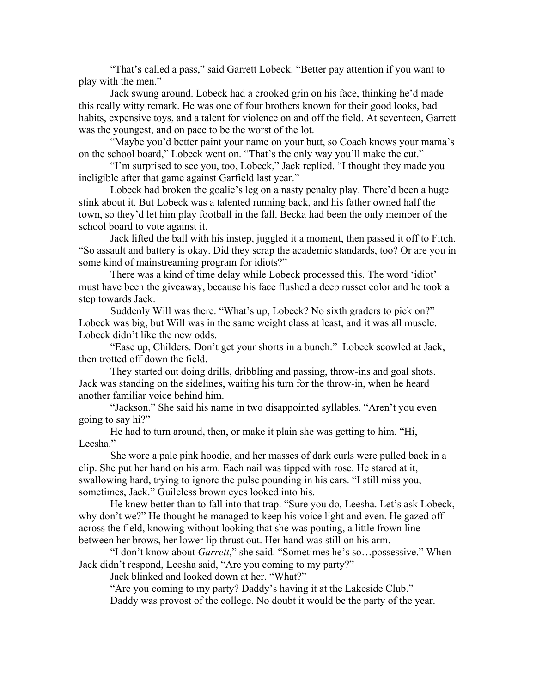"That's called a pass," said Garrett Lobeck. "Better pay attention if you want to play with the men."

Jack swung around. Lobeck had a crooked grin on his face, thinking he'd made this really witty remark. He was one of four brothers known for their good looks, bad habits, expensive toys, and a talent for violence on and off the field. At seventeen, Garrett was the youngest, and on pace to be the worst of the lot.

"Maybe you'd better paint your name on your butt, so Coach knows your mama's on the school board," Lobeck went on. "That's the only way you'll make the cut."

"I'm surprised to see you, too, Lobeck," Jack replied. "I thought they made you ineligible after that game against Garfield last year."

Lobeck had broken the goalie's leg on a nasty penalty play. There'd been a huge stink about it. But Lobeck was a talented running back, and his father owned half the town, so they'd let him play football in the fall. Becka had been the only member of the school board to vote against it.

Jack lifted the ball with his instep, juggled it a moment, then passed it off to Fitch. "So assault and battery is okay. Did they scrap the academic standards, too? Or are you in some kind of mainstreaming program for idiots?"

There was a kind of time delay while Lobeck processed this. The word 'idiot' must have been the giveaway, because his face flushed a deep russet color and he took a step towards Jack.

Suddenly Will was there. "What's up, Lobeck? No sixth graders to pick on?" Lobeck was big, but Will was in the same weight class at least, and it was all muscle. Lobeck didn't like the new odds.

"Ease up, Childers. Don't get your shorts in a bunch." Lobeck scowled at Jack, then trotted off down the field.

They started out doing drills, dribbling and passing, throw-ins and goal shots. Jack was standing on the sidelines, waiting his turn for the throw-in, when he heard another familiar voice behind him.

"Jackson." She said his name in two disappointed syllables. "Aren't you even going to say hi?"

He had to turn around, then, or make it plain she was getting to him. "Hi, Leesha."

She wore a pale pink hoodie, and her masses of dark curls were pulled back in a clip. She put her hand on his arm. Each nail was tipped with rose. He stared at it, swallowing hard, trying to ignore the pulse pounding in his ears. "I still miss you, sometimes, Jack." Guileless brown eyes looked into his.

He knew better than to fall into that trap. "Sure you do, Leesha. Let's ask Lobeck, why don't we?" He thought he managed to keep his voice light and even. He gazed off across the field, knowing without looking that she was pouting, a little frown line between her brows, her lower lip thrust out. Her hand was still on his arm.

"I don't know about *Garrett*," she said. "Sometimes he's so…possessive." When Jack didn't respond, Leesha said, "Are you coming to my party?"

Jack blinked and looked down at her. "What?"

"Are you coming to my party? Daddy's having it at the Lakeside Club."

Daddy was provost of the college. No doubt it would be the party of the year.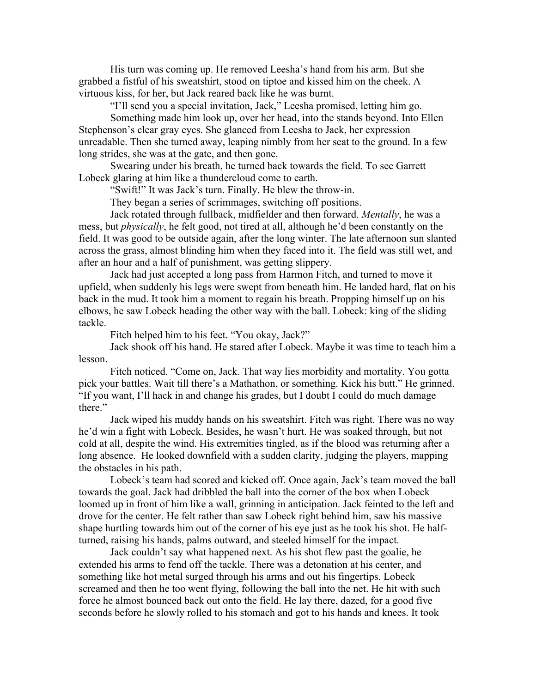His turn was coming up. He removed Leesha's hand from his arm. But she grabbed a fistful of his sweatshirt, stood on tiptoe and kissed him on the cheek. A virtuous kiss, for her, but Jack reared back like he was burnt.

"I'll send you a special invitation, Jack," Leesha promised, letting him go. Something made him look up, over her head, into the stands beyond. Into Ellen Stephenson's clear gray eyes. She glanced from Leesha to Jack, her expression unreadable. Then she turned away, leaping nimbly from her seat to the ground. In a few long strides, she was at the gate, and then gone.

Swearing under his breath, he turned back towards the field. To see Garrett Lobeck glaring at him like a thundercloud come to earth.

"Swift!" It was Jack's turn. Finally. He blew the throw-in.

They began a series of scrimmages, switching off positions.

Jack rotated through fullback, midfielder and then forward. *Mentally*, he was a mess, but *physically*, he felt good, not tired at all, although he'd been constantly on the field. It was good to be outside again, after the long winter. The late afternoon sun slanted across the grass, almost blinding him when they faced into it. The field was still wet, and after an hour and a half of punishment, was getting slippery.

Jack had just accepted a long pass from Harmon Fitch, and turned to move it upfield, when suddenly his legs were swept from beneath him. He landed hard, flat on his back in the mud. It took him a moment to regain his breath. Propping himself up on his elbows, he saw Lobeck heading the other way with the ball. Lobeck: king of the sliding tackle.

Fitch helped him to his feet. "You okay, Jack?"

Jack shook off his hand. He stared after Lobeck. Maybe it was time to teach him a lesson.

Fitch noticed. "Come on, Jack. That way lies morbidity and mortality. You gotta pick your battles. Wait till there's a Mathathon, or something. Kick his butt." He grinned. "If you want, I'll hack in and change his grades, but I doubt I could do much damage there."

Jack wiped his muddy hands on his sweatshirt. Fitch was right. There was no way he'd win a fight with Lobeck. Besides, he wasn't hurt. He was soaked through, but not cold at all, despite the wind. His extremities tingled, as if the blood was returning after a long absence. He looked downfield with a sudden clarity, judging the players, mapping the obstacles in his path.

Lobeck's team had scored and kicked off. Once again, Jack's team moved the ball towards the goal. Jack had dribbled the ball into the corner of the box when Lobeck loomed up in front of him like a wall, grinning in anticipation. Jack feinted to the left and drove for the center. He felt rather than saw Lobeck right behind him, saw his massive shape hurtling towards him out of the corner of his eye just as he took his shot. He halfturned, raising his hands, palms outward, and steeled himself for the impact.

Jack couldn't say what happened next. As his shot flew past the goalie, he extended his arms to fend off the tackle. There was a detonation at his center, and something like hot metal surged through his arms and out his fingertips. Lobeck screamed and then he too went flying, following the ball into the net. He hit with such force he almost bounced back out onto the field. He lay there, dazed, for a good five seconds before he slowly rolled to his stomach and got to his hands and knees. It took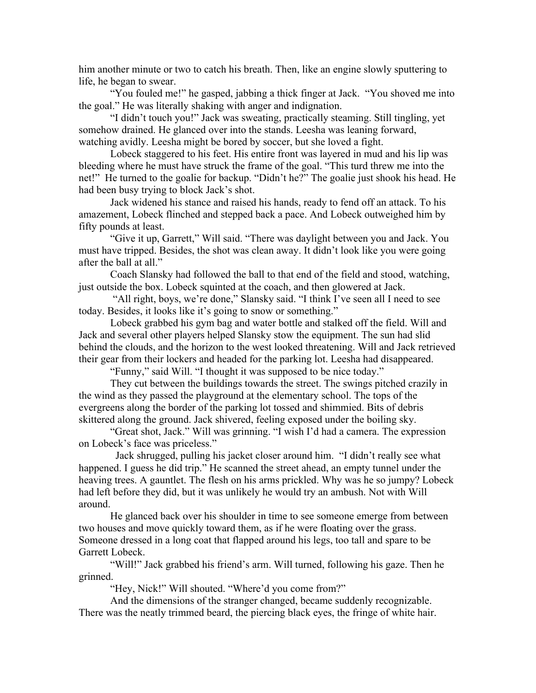him another minute or two to catch his breath. Then, like an engine slowly sputtering to life, he began to swear.

"You fouled me!" he gasped, jabbing a thick finger at Jack. "You shoved me into the goal." He was literally shaking with anger and indignation.

"I didn't touch you!" Jack was sweating, practically steaming. Still tingling, yet somehow drained. He glanced over into the stands. Leesha was leaning forward, watching avidly. Leesha might be bored by soccer, but she loved a fight.

Lobeck staggered to his feet. His entire front was layered in mud and his lip was bleeding where he must have struck the frame of the goal. "This turd threw me into the net!" He turned to the goalie for backup. "Didn't he?" The goalie just shook his head. He had been busy trying to block Jack's shot.

Jack widened his stance and raised his hands, ready to fend off an attack. To his amazement, Lobeck flinched and stepped back a pace. And Lobeck outweighed him by fifty pounds at least.

"Give it up, Garrett," Will said. "There was daylight between you and Jack. You must have tripped. Besides, the shot was clean away. It didn't look like you were going after the ball at all."

Coach Slansky had followed the ball to that end of the field and stood, watching, just outside the box. Lobeck squinted at the coach, and then glowered at Jack.

 "All right, boys, we're done," Slansky said. "I think I've seen all I need to see today. Besides, it looks like it's going to snow or something."

Lobeck grabbed his gym bag and water bottle and stalked off the field. Will and Jack and several other players helped Slansky stow the equipment. The sun had slid behind the clouds, and the horizon to the west looked threatening. Will and Jack retrieved their gear from their lockers and headed for the parking lot. Leesha had disappeared.

"Funny," said Will. "I thought it was supposed to be nice today."

They cut between the buildings towards the street. The swings pitched crazily in the wind as they passed the playground at the elementary school. The tops of the evergreens along the border of the parking lot tossed and shimmied. Bits of debris skittered along the ground. Jack shivered, feeling exposed under the boiling sky.

"Great shot, Jack." Will was grinning. "I wish I'd had a camera. The expression on Lobeck's face was priceless."

 Jack shrugged, pulling his jacket closer around him. "I didn't really see what happened. I guess he did trip." He scanned the street ahead, an empty tunnel under the heaving trees. A gauntlet. The flesh on his arms prickled. Why was he so jumpy? Lobeck had left before they did, but it was unlikely he would try an ambush. Not with Will around.

He glanced back over his shoulder in time to see someone emerge from between two houses and move quickly toward them, as if he were floating over the grass. Someone dressed in a long coat that flapped around his legs, too tall and spare to be Garrett Lobeck.

"Will!" Jack grabbed his friend's arm. Will turned, following his gaze. Then he grinned.

"Hey, Nick!" Will shouted. "Where'd you come from?"

And the dimensions of the stranger changed, became suddenly recognizable. There was the neatly trimmed beard, the piercing black eyes, the fringe of white hair.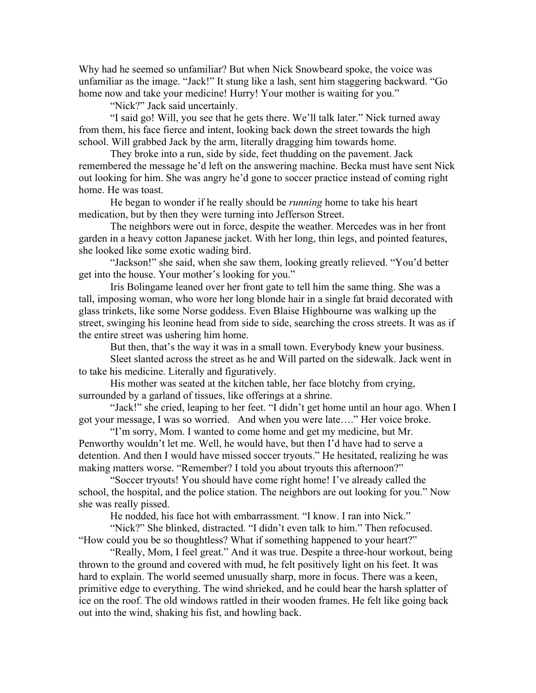Why had he seemed so unfamiliar? But when Nick Snowbeard spoke, the voice was unfamiliar as the image. "Jack!" It stung like a lash, sent him staggering backward. "Go home now and take your medicine! Hurry! Your mother is waiting for you."

"Nick?" Jack said uncertainly.

"I said go! Will, you see that he gets there. We'll talk later." Nick turned away from them, his face fierce and intent, looking back down the street towards the high school. Will grabbed Jack by the arm, literally dragging him towards home.

They broke into a run, side by side, feet thudding on the pavement. Jack remembered the message he'd left on the answering machine. Becka must have sent Nick out looking for him. She was angry he'd gone to soccer practice instead of coming right home. He was toast.

He began to wonder if he really should be *running* home to take his heart medication, but by then they were turning into Jefferson Street.

The neighbors were out in force, despite the weather. Mercedes was in her front garden in a heavy cotton Japanese jacket. With her long, thin legs, and pointed features, she looked like some exotic wading bird.

"Jackson!" she said, when she saw them, looking greatly relieved. "You'd better get into the house. Your mother's looking for you."

Iris Bolingame leaned over her front gate to tell him the same thing. She was a tall, imposing woman, who wore her long blonde hair in a single fat braid decorated with glass trinkets, like some Norse goddess. Even Blaise Highbourne was walking up the street, swinging his leonine head from side to side, searching the cross streets. It was as if the entire street was ushering him home.

But then, that's the way it was in a small town. Everybody knew your business.

Sleet slanted across the street as he and Will parted on the sidewalk. Jack went in to take his medicine. Literally and figuratively.

His mother was seated at the kitchen table, her face blotchy from crying, surrounded by a garland of tissues, like offerings at a shrine.

"Jack!" she cried, leaping to her feet. "I didn't get home until an hour ago. When I got your message, I was so worried. And when you were late…." Her voice broke.

"I'm sorry, Mom. I wanted to come home and get my medicine, but Mr. Penworthy wouldn't let me. Well, he would have, but then I'd have had to serve a detention. And then I would have missed soccer tryouts." He hesitated, realizing he was making matters worse. "Remember? I told you about tryouts this afternoon?"

"Soccer tryouts! You should have come right home! I've already called the school, the hospital, and the police station. The neighbors are out looking for you." Now she was really pissed.

He nodded, his face hot with embarrassment. "I know. I ran into Nick."

"Nick?" She blinked, distracted. "I didn't even talk to him." Then refocused. "How could you be so thoughtless? What if something happened to your heart?"

"Really, Mom, I feel great." And it was true. Despite a three-hour workout, being thrown to the ground and covered with mud, he felt positively light on his feet. It was hard to explain. The world seemed unusually sharp, more in focus. There was a keen, primitive edge to everything. The wind shrieked, and he could hear the harsh splatter of ice on the roof. The old windows rattled in their wooden frames. He felt like going back out into the wind, shaking his fist, and howling back.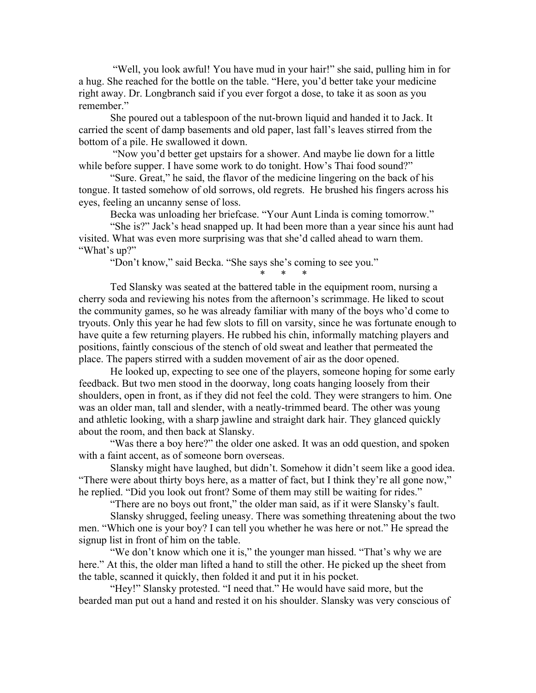"Well, you look awful! You have mud in your hair!" she said, pulling him in for a hug. She reached for the bottle on the table. "Here, you'd better take your medicine right away. Dr. Longbranch said if you ever forgot a dose, to take it as soon as you remember."

She poured out a tablespoon of the nut-brown liquid and handed it to Jack. It carried the scent of damp basements and old paper, last fall's leaves stirred from the bottom of a pile. He swallowed it down.

 "Now you'd better get upstairs for a shower. And maybe lie down for a little while before supper. I have some work to do tonight. How's Thai food sound?"

"Sure. Great," he said, the flavor of the medicine lingering on the back of his tongue. It tasted somehow of old sorrows, old regrets. He brushed his fingers across his eyes, feeling an uncanny sense of loss.

Becka was unloading her briefcase. "Your Aunt Linda is coming tomorrow."

"She is?" Jack's head snapped up. It had been more than a year since his aunt had visited. What was even more surprising was that she'd called ahead to warn them. "What's up?"

"Don't know," said Becka. "She says she's coming to see you."

\* \* \* Ted Slansky was seated at the battered table in the equipment room, nursing a cherry soda and reviewing his notes from the afternoon's scrimmage. He liked to scout the community games, so he was already familiar with many of the boys who'd come to tryouts. Only this year he had few slots to fill on varsity, since he was fortunate enough to have quite a few returning players. He rubbed his chin, informally matching players and positions, faintly conscious of the stench of old sweat and leather that permeated the place. The papers stirred with a sudden movement of air as the door opened.

He looked up, expecting to see one of the players, someone hoping for some early feedback. But two men stood in the doorway, long coats hanging loosely from their shoulders, open in front, as if they did not feel the cold. They were strangers to him. One was an older man, tall and slender, with a neatly-trimmed beard. The other was young and athletic looking, with a sharp jawline and straight dark hair. They glanced quickly about the room, and then back at Slansky.

"Was there a boy here?" the older one asked. It was an odd question, and spoken with a faint accent, as of someone born overseas.

Slansky might have laughed, but didn't. Somehow it didn't seem like a good idea. "There were about thirty boys here, as a matter of fact, but I think they're all gone now," he replied. "Did you look out front? Some of them may still be waiting for rides."

"There are no boys out front," the older man said, as if it were Slansky's fault.

Slansky shrugged, feeling uneasy. There was something threatening about the two men. "Which one is your boy? I can tell you whether he was here or not." He spread the signup list in front of him on the table.

"We don't know which one it is," the younger man hissed. "That's why we are here." At this, the older man lifted a hand to still the other. He picked up the sheet from the table, scanned it quickly, then folded it and put it in his pocket.

"Hey!" Slansky protested. "I need that." He would have said more, but the bearded man put out a hand and rested it on his shoulder. Slansky was very conscious of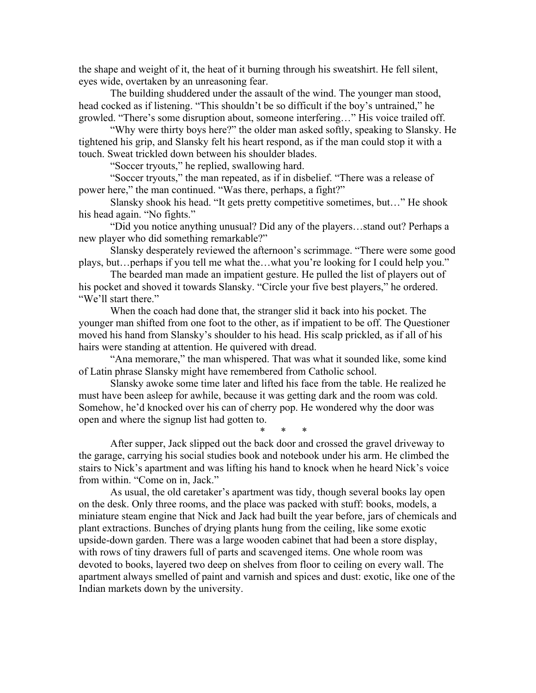the shape and weight of it, the heat of it burning through his sweatshirt. He fell silent, eyes wide, overtaken by an unreasoning fear.

The building shuddered under the assault of the wind. The younger man stood, head cocked as if listening. "This shouldn't be so difficult if the boy's untrained," he growled. "There's some disruption about, someone interfering…" His voice trailed off.

"Why were thirty boys here?" the older man asked softly, speaking to Slansky. He tightened his grip, and Slansky felt his heart respond, as if the man could stop it with a touch. Sweat trickled down between his shoulder blades.

"Soccer tryouts," he replied, swallowing hard.

"Soccer tryouts," the man repeated, as if in disbelief. "There was a release of power here," the man continued. "Was there, perhaps, a fight?"

Slansky shook his head. "It gets pretty competitive sometimes, but…" He shook his head again. "No fights."

"Did you notice anything unusual? Did any of the players…stand out? Perhaps a new player who did something remarkable?"

Slansky desperately reviewed the afternoon's scrimmage. "There were some good plays, but…perhaps if you tell me what the…what you're looking for I could help you."

The bearded man made an impatient gesture. He pulled the list of players out of his pocket and shoved it towards Slansky. "Circle your five best players," he ordered. "We'll start there."

When the coach had done that, the stranger slid it back into his pocket. The younger man shifted from one foot to the other, as if impatient to be off. The Questioner moved his hand from Slansky's shoulder to his head. His scalp prickled, as if all of his hairs were standing at attention. He quivered with dread.

"Ana memorare," the man whispered. That was what it sounded like, some kind of Latin phrase Slansky might have remembered from Catholic school.

Slansky awoke some time later and lifted his face from the table. He realized he must have been asleep for awhile, because it was getting dark and the room was cold. Somehow, he'd knocked over his can of cherry pop. He wondered why the door was open and where the signup list had gotten to.

\* \* \*

After supper, Jack slipped out the back door and crossed the gravel driveway to the garage, carrying his social studies book and notebook under his arm. He climbed the stairs to Nick's apartment and was lifting his hand to knock when he heard Nick's voice from within. "Come on in, Jack."

As usual, the old caretaker's apartment was tidy, though several books lay open on the desk. Only three rooms, and the place was packed with stuff: books, models, a miniature steam engine that Nick and Jack had built the year before, jars of chemicals and plant extractions. Bunches of drying plants hung from the ceiling, like some exotic upside-down garden. There was a large wooden cabinet that had been a store display, with rows of tiny drawers full of parts and scavenged items. One whole room was devoted to books, layered two deep on shelves from floor to ceiling on every wall. The apartment always smelled of paint and varnish and spices and dust: exotic, like one of the Indian markets down by the university.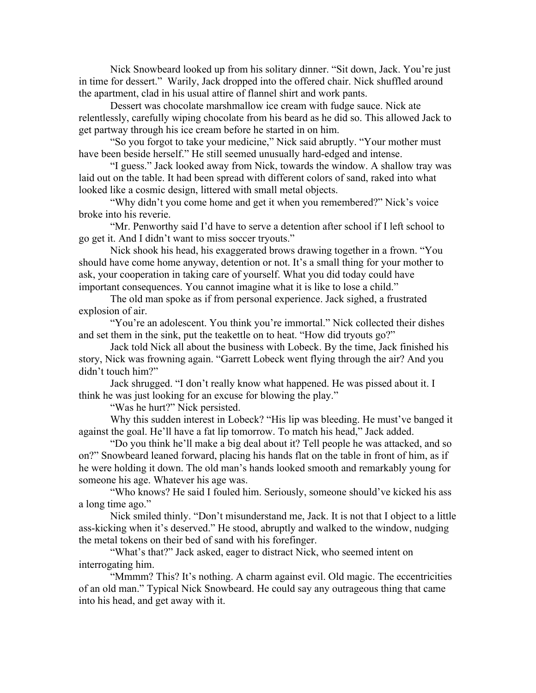Nick Snowbeard looked up from his solitary dinner. "Sit down, Jack. You're just in time for dessert." Warily, Jack dropped into the offered chair. Nick shuffled around the apartment, clad in his usual attire of flannel shirt and work pants.

Dessert was chocolate marshmallow ice cream with fudge sauce. Nick ate relentlessly, carefully wiping chocolate from his beard as he did so. This allowed Jack to get partway through his ice cream before he started in on him.

"So you forgot to take your medicine," Nick said abruptly. "Your mother must have been beside herself." He still seemed unusually hard-edged and intense.

"I guess." Jack looked away from Nick, towards the window. A shallow tray was laid out on the table. It had been spread with different colors of sand, raked into what looked like a cosmic design, littered with small metal objects.

"Why didn't you come home and get it when you remembered?" Nick's voice broke into his reverie.

"Mr. Penworthy said I'd have to serve a detention after school if I left school to go get it. And I didn't want to miss soccer tryouts."

Nick shook his head, his exaggerated brows drawing together in a frown. "You should have come home anyway, detention or not. It's a small thing for your mother to ask, your cooperation in taking care of yourself. What you did today could have important consequences. You cannot imagine what it is like to lose a child."

The old man spoke as if from personal experience. Jack sighed, a frustrated explosion of air.

"You're an adolescent. You think you're immortal." Nick collected their dishes and set them in the sink, put the teakettle on to heat. "How did tryouts go?"

Jack told Nick all about the business with Lobeck. By the time, Jack finished his story, Nick was frowning again. "Garrett Lobeck went flying through the air? And you didn't touch him?"

Jack shrugged. "I don't really know what happened. He was pissed about it. I think he was just looking for an excuse for blowing the play."

"Was he hurt?" Nick persisted.

Why this sudden interest in Lobeck? "His lip was bleeding. He must've banged it against the goal. He'll have a fat lip tomorrow. To match his head," Jack added.

"Do you think he'll make a big deal about it? Tell people he was attacked, and so on?" Snowbeard leaned forward, placing his hands flat on the table in front of him, as if he were holding it down. The old man's hands looked smooth and remarkably young for someone his age. Whatever his age was.

"Who knows? He said I fouled him. Seriously, someone should've kicked his ass a long time ago."

Nick smiled thinly. "Don't misunderstand me, Jack. It is not that I object to a little ass-kicking when it's deserved." He stood, abruptly and walked to the window, nudging the metal tokens on their bed of sand with his forefinger.

"What's that?" Jack asked, eager to distract Nick, who seemed intent on interrogating him.

"Mmmm? This? It's nothing. A charm against evil. Old magic. The eccentricities of an old man." Typical Nick Snowbeard. He could say any outrageous thing that came into his head, and get away with it.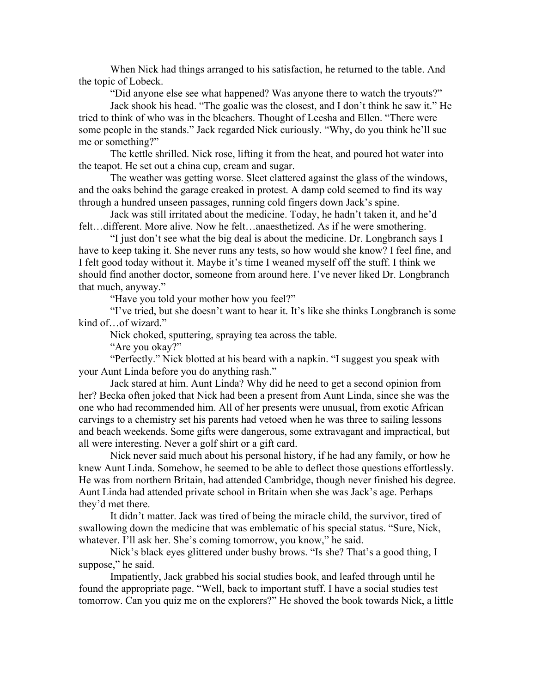When Nick had things arranged to his satisfaction, he returned to the table. And the topic of Lobeck.

"Did anyone else see what happened? Was anyone there to watch the tryouts?"

Jack shook his head. "The goalie was the closest, and I don't think he saw it." He tried to think of who was in the bleachers. Thought of Leesha and Ellen. "There were some people in the stands." Jack regarded Nick curiously. "Why, do you think he'll sue me or something?"

The kettle shrilled. Nick rose, lifting it from the heat, and poured hot water into the teapot. He set out a china cup, cream and sugar.

The weather was getting worse. Sleet clattered against the glass of the windows, and the oaks behind the garage creaked in protest. A damp cold seemed to find its way through a hundred unseen passages, running cold fingers down Jack's spine.

Jack was still irritated about the medicine. Today, he hadn't taken it, and he'd felt…different. More alive. Now he felt…anaesthetized. As if he were smothering.

"I just don't see what the big deal is about the medicine. Dr. Longbranch says I have to keep taking it. She never runs any tests, so how would she know? I feel fine, and I felt good today without it. Maybe it's time I weaned myself off the stuff. I think we should find another doctor, someone from around here. I've never liked Dr. Longbranch that much, anyway."

"Have you told your mother how you feel?"

"I've tried, but she doesn't want to hear it. It's like she thinks Longbranch is some kind of…of wizard."

Nick choked, sputtering, spraying tea across the table.

"Are you okay?"

"Perfectly." Nick blotted at his beard with a napkin. "I suggest you speak with your Aunt Linda before you do anything rash."

Jack stared at him. Aunt Linda? Why did he need to get a second opinion from her? Becka often joked that Nick had been a present from Aunt Linda, since she was the one who had recommended him. All of her presents were unusual, from exotic African carvings to a chemistry set his parents had vetoed when he was three to sailing lessons and beach weekends. Some gifts were dangerous, some extravagant and impractical, but all were interesting. Never a golf shirt or a gift card.

Nick never said much about his personal history, if he had any family, or how he knew Aunt Linda. Somehow, he seemed to be able to deflect those questions effortlessly. He was from northern Britain, had attended Cambridge, though never finished his degree. Aunt Linda had attended private school in Britain when she was Jack's age. Perhaps they'd met there.

It didn't matter. Jack was tired of being the miracle child, the survivor, tired of swallowing down the medicine that was emblematic of his special status. "Sure, Nick, whatever. I'll ask her. She's coming tomorrow, you know," he said.

Nick's black eyes glittered under bushy brows. "Is she? That's a good thing, I suppose," he said.

Impatiently, Jack grabbed his social studies book, and leafed through until he found the appropriate page. "Well, back to important stuff. I have a social studies test tomorrow. Can you quiz me on the explorers?" He shoved the book towards Nick, a little